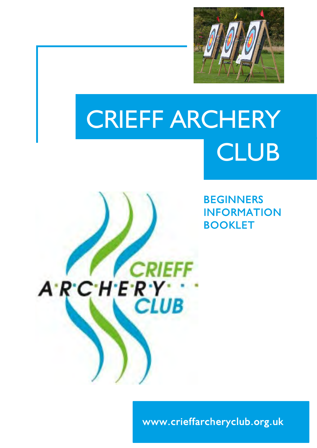

# CRIEFF ARCHERY **CLUB**

**CRIEFF** 

**CLUB** 

ARCHERY

**BEGINNERS INFORMATION BOOKLET** 

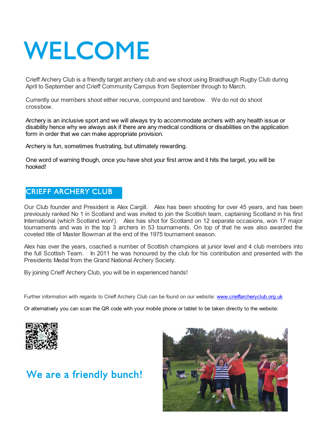# WELCOME

Crieff Archery Club is a friendly target archery club and we shoot using Braidhaugh Rugby Club during April to September and Crieff Community Campus from September through to March.

Currently our members shoot either recurve, compound and barebow. We do not do shoot crossbow.

Archery is an inclusive sport and we will always try to accommodate archers with any health issue or disability hence why we always ask if there are any medical conditions or disabilities on the application form in order that we can make appropriate provision.

Archery is fun, sometimes frustrating, but ultimately rewarding.

One word of warning though, once you have shot your first arrow and it hits the target, you will be hooked!

## **CRIEFF ARCHERY CLUB**

Our Club founder and President is Alex Cargill. Alex has been shooting for over 45 years, and has been previously ranked No 1 in Scotland and was invited to join the Scottish team, captaining Scotland in his first International (which Scotland won!). Alex has shot for Scotland on 12 separate occasions, won 17 major tournaments and was in the top 3 archers in 53 tournaments. On top of that he was also awarded the coveted title of Master Bowman at the end of the 1975 tournament season.

Alex has over the years, coached a number of Scottish champions at junior level and 4 club members into the full Scottish Team. In 2011 he was honoured by the club for his contribution and presented with the Presidents Medal from the Grand National Archery Society.

By joining Crieff Archery Club, you will be in experienced hands!

Further information with regards to Crieff Archery Club can be found on our website: www.crieffarcheryclub.org.uk

Or alternatively you can scan the QR code with your mobile phone or tablet to be taken directly to the website:



## We are a friendly bunch!

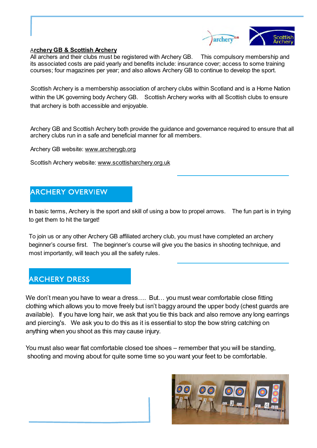

#### A**rchery GB & Scottish Archery**

All archers and their clubs must be registered with Archery GB. This compulsory membership and its associated costs are paid yearly and benefits include: insurance cover; access to some training courses; four magazines per year; and also allows Archery GB to continue to develop the sport.

*S*cottish Archery is a membership association of archery clubs within Scotland and is a Home Nation within the UK governing body Archery GB. Scottish Archery works with all Scottish clubs to ensure that archery is both accessible and enjoyable.

Archery GB and Scottish Archery both provide the guidance and governance required to ensure that all archery clubs run in a safe and beneficial manner for all members.

Archery GB website: www.archerygb.org

Scottish Archery website: www.scottisharchery.org.uk

## **ARCHERY OVERVIEW**

In basic terms, Archery is the sport and skill of using a bow to propel arrows. The fun part is in trying to get them to hit the target!

To join us or any other Archery GB affiliated archery club, you must have completed an archery beginner's course first. The beginner's course will give you the basics in shooting technique, and most importantly, will teach you all the safety rules.

## **ARCHERY DRESS**

We don't mean you have to wear a dress.... But... you must wear comfortable close fitting clothing which allows you to move freely but isn't baggy around the upper body (chest guards are available). If you have long hair, we ask that you tie this back and also remove any long earrings and piercing's. We ask you to do this as it is essential to stop the bow string catching on anything when you shoot as this may cause injury.

You must also wear flat comfortable closed toe shoes – remember that you will be standing, shooting and moving about for quite some time so you want your feet to be comfortable.

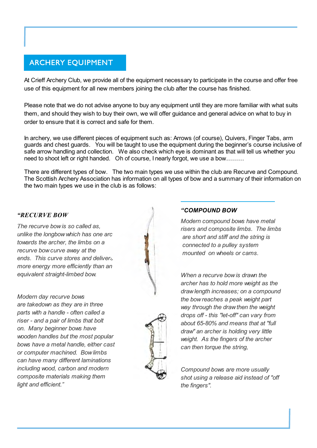## **ARCHERY EOUIPMENT**

At Crieff Archery Club, we provide all of the equipment necessary to participate in the course and offer free use of this equipment for all new members joining the club after the course has finished.

Please note that we do not advise anyone to buy any equipment until they are more familiar with what suits them, and should they wish to buy their own, we will offer guidance and general advice on what to buy in order to ensure that it is correct and safe for them.

In archery, we use different pieces of equipment such as: Arrows (of course), Quivers, Finger Tabs, arm guards and chest guards. You will be taught to use the equipment during the beginner's course inclusive of safe arrow handling and collection. We also check which eye is dominant as that will tell us whether you need to shoot left or right handed. Oh of course, I nearly forgot, we use a bow………

There are different types of bow. The two main types we use within the club are Recurve and Compound. The Scottish Archery Association has information on all types of bow and a summary of their information on the two main types we use in the club is as follows:

#### *"RECURVE BOW*

*The recurve bow is so called as, unlike the longbow which has one arc towards the archer, the limbs on a recurve bow curve away at the ends. This curve stores and delivers more energy more efficiently than an equivalent straight-limbed bow.*

*Modern day recurve bows are takedown as they are in three parts with a handle - often called a riser - and a pair of limbs that bolt on. Many beginner bows have wooden handles but the most popular bows have a metal handle, either cast or computer machined. Bow limbs can have many different laminations including wood, carbon and modern composite materials making them light and efficient."*



*Modern compound bows have metal risers and composite limbs. The limbs are short and stiff and the string is connected to a pulley system mounted on wheels or cams.*

*When a recurve bow is drawn the archer has to hold more weight as the draw length increases; on a compound the bow reaches a peak weight part way through the draw then the weight drops off - this "let-off" can vary from about 65-80% and means that at "full draw" an archer is holding very little weight. As the fingers of the archer can then torque the string,*

*Compound bows are more usually shot using a release aid instead of "off the fingers".*

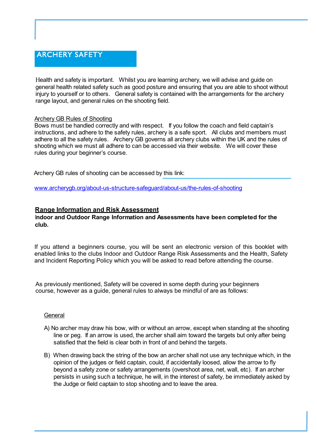## **ARCHERY SAFETY**

Health and safety is important. Whilst you are learning archery, we will advise and guide on general health related safety such as good posture and ensuring that you are able to shoot without injury to yourself or to others. General safety is contained with the arrangements for the archery range layout, and general rules on the shooting field.

#### Archery GB Rules of Shooting

Bows must be handled correctly and with respect. If you follow the coach and field captain's instructions, and adhere to the safety rules, archery is a safe sport. All clubs and members must adhere to all the safety rules. Archery GB governs all archery clubs within the UK and the rules of shooting which we must all adhere to can be accessed via their website. We will cover these rules during your beginner's course.

Archery GB rules of shooting can be accessed by this link:

www.archerygb.org/about-us-structure-safeguard/about-us/the-rules-of-shooting

#### **Range Information and Risk Assessment**

#### I**ndoor and Outdoor Range Information and Assessments have been completed for the club.**

If you attend a beginners course, you will be sent an electronic version of this booklet with [enabled links to the clubs Indoor and Outdoor Range Risk A](http://www.crieffarcheryclub.org.uk/images/FINAL_2017_Indoor_archery_information_and_risk_assessment.pdf)ssessments and the Health, Safety [and Incident Reporting Policy which you will be asked to rea](http://www.crieffarcheryclub.org.uk/images/FINAL_Archery_Safety_and_Incident_Policy_2017.pdf)d before attending the course.

As previously mentioned, Safety will be covered in some depth during your beginners course, however as a guide, general rules to always be mindful of are as follows:

#### **General**

- A) No archer may draw his bow, with or without an arrow, except when standing at the shooting line or peg. If an arrow is used, the archer shall aim toward the targets but only after being satisfied that the field is clear both in front of and behind the targets.
- B) When drawing back the string of the bow an archer shall not use any technique which, in the opinion of the judges or field captain, could, if accidentally loosed, allow the arrow to fly beyond a safety zone or safety arrangements (overshoot area, net, wall, etc). If an archer persists in using such a technique, he will, in the interest of safety, be immediately asked by the Judge or field captain to stop shooting and to leave the area.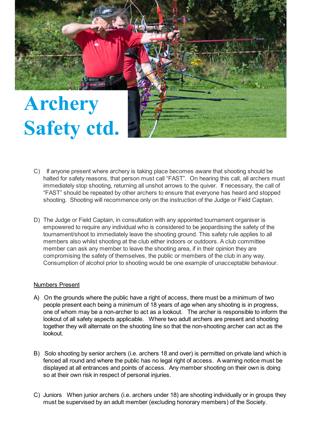

- C) If anyone present where archery is taking place becomes aware that shooting should be halted for safety reasons, that person must call "FAST". On hearing this call, all archers must immediately stop shooting, returning all unshot arrows to the quiver. If necessary, the call of "FAST" should be repeated by other archers to ensure that everyone has heard and stopped shooting. Shooting will recommence only on the instruction of the Judge or Field Captain.
- D) The Judge or Field Captain, in consultation with any appointed tournament organiser is empowered to require any individual who is considered to be jeopardising the safety of the tournament/shoot to immediately leave the shooting ground. This safety rule applies to all members also whilst shooting at the club either indoors or outdoors. A club committee member can ask any member to leave the shooting area, if in their opinion they are compromising the safety of themselves, the public or members of the club in any way. Consumption of alcohol prior to shooting would be one example of unacceptable behaviour.

#### Numbers Present

- A) On the grounds where the public have a right of access, there must be a minimum of two people present each being a minimum of 18 years of age when any shooting is in progress, one of whom may be a non-archer to act as a lookout. The archer is responsible to inform the lookout of all safety aspects applicable. Where two adult archers are present and shooting together they will alternate on the shooting line so that the non-shooting archer can act as the lookout.
- B) Solo shooting by senior archers (i.e. archers 18 and over) is permitted on private land which is fenced all round and where the public has no legal right of access. A warning notice must be displayed at all entrances and points of access. Any member shooting on their own is doing so at their own risk in respect of personal injuries.
- C) Juniors When junior archers (i.e. archers under 18) are shooting individually or in groups they must be supervised by an adult member (excluding honorary members) of the Society.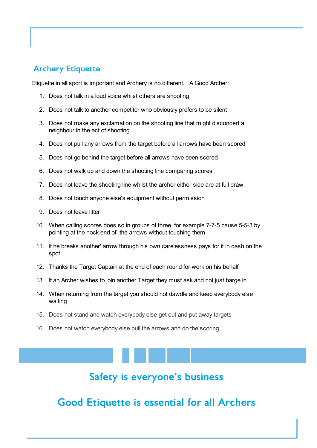## **Archery Etiquette**

Etiquette in all sport is important and Archery is no different. A Good Archer:

- 1. Does not talk in a loud voice whilst others are shooting
- 2. Does not talk to another competitor who obviously prefers to be silent
- 3. Does not make any exclamation on the shooting line that might disconcert a neighbour in the act of shooting
- 4. Does not pull any arrows from the target before all arrows have been scored
- 5. Does not go behind the target before all arrows have been scored
- 6. Does not walk up and down the shooting line comparing scores
- 7. Does not leave the shooting line whilst the archer either side are at full draw
- 8. Does not touch anyone else's equipment without permission
- 9. Does not leave litter
- 10. When calling scores does so in groups of three, for example 7-7-5 pause 5-5-3 by pointing at the nock end of the arrows without touching them
- 11. If he breaks another' arrow through his own carelessness pays for it in cash on the spot
- 12. Thanks the Target Captain at the end of each round for work on his behalf
- 13. If an Archer wishes to join another Target they must ask and not just barge in
- 14. When returning from the target you should not dawdle and keep everybody else waiting
- 15. Does not stand and watch everybody else get out and put away targets
- 16. Does not watch everybody else pull the arrows and do the scoring

## Safety is everyone's business

**Good Etiquette is essential for all Archers**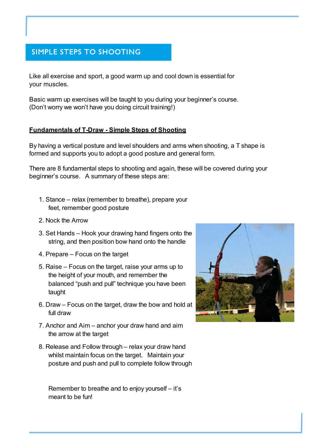## **SIMPLE STEPS TO SHOOTING**

Like all exercise and sport, a good warm up and cool down is essential for your muscles.

Basic warm up exercises will be taught to you during your beginner's course. (Don't worry we won't have you doing circuit training!)

#### **Fundamentals of T-Draw - Simple Steps of Shooting**

By having a vertical posture and level shoulders and arms when shooting, a T shape is formed and supports you to adopt a good posture and general form.

There are 8 fundamental steps to shooting and again, these will be covered during your beginner's course. A summary of these steps are:

- 1. Stance relax (remember to breathe), prepare your feet, remember good posture
- 2. Nock the Arrow
- 3. Set Hands Hook your drawing hand fingers onto the string, and then position bow hand onto the handle
- 4. Prepare Focus on the target
- 5. Raise Focus on the target, raise your arms up to the height of your mouth, and remember the balanced "push and pull" technique you have been taught
- 6. Draw Focus on the target, draw the bow and hold at full draw
- 7. Anchor and Aim anchor your draw hand and aim the arrow at the target
- 8. Release and Follow through relax your draw hand whilst maintain focus on the target. Maintain your posture and push and pull to complete follow through

Remember to breathe and to enjoy yourself – it's meant to be fun!

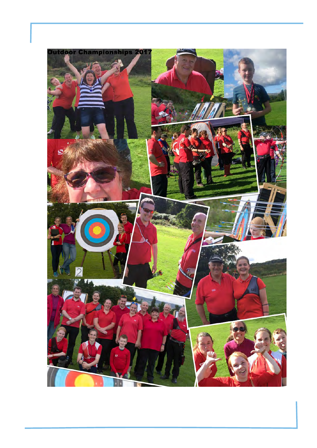